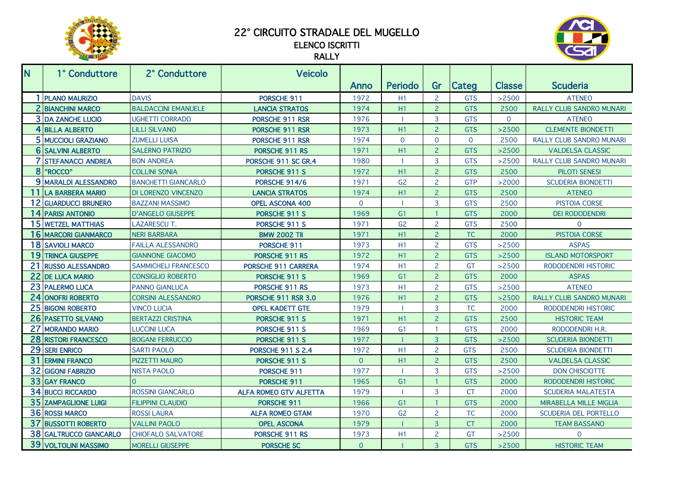

## 22° CIRCUITO STRADALE DEL MUGELLO

## ELENCO ISCRITTI RALLY



| N.             | 1° Conduttore              | 2° Conduttore              | Veicolo                       |          |                          |                |                |               |                                 |
|----------------|----------------------------|----------------------------|-------------------------------|----------|--------------------------|----------------|----------------|---------------|---------------------------------|
|                |                            |                            |                               | Anno     | Periodo                  | Gr             | Categ          | <b>Classe</b> | <b>Scuderia</b>                 |
|                | <b>PLANO MAURIZIO</b>      | <b>DAVIS</b>               | PORSCHE 911                   | 1972     | H <sub>1</sub>           | $\overline{2}$ | <b>GTS</b>     | >2500         | <b>ATENEO</b>                   |
| $\overline{2}$ | <b>BIANCHINI MARCO</b>     | <b>BALDACCINI EMANUELE</b> | <b>LANCIA STRATOS</b>         | 1974     | H1                       | $\overline{2}$ | <b>GTS</b>     | 2500          | <b>RALLY CLUB SANDRO MUNARI</b> |
|                | <b>3 DA ZANCHE LUCIO</b>   | <b>UGHETTI CORRADO</b>     | <b>PORSCHE 911 RSR</b>        | 1976     | <b>I</b>                 | 3              | <b>GTS</b>     | $\Omega$      | <b>ATENEO</b>                   |
|                | 4 BILLA ALBERTO            | <b>LILLI SILVANO</b>       | PORSCHE 911 RSR               | 1973     | H1                       | $\overline{c}$ | <b>GTS</b>     | >2500         | <b>CLEMENTE BIONDETTI</b>       |
|                | 5 MUCCIOLI GRAZIANO        | <b>ZUMELLI LUISA</b>       | PORSCHE 911 RSR               | 1974     | $\overline{0}$           | $\overline{0}$ | $\overline{0}$ | 2500          | RALLY CLUB SANDRO MUNARI        |
| $6 \mid$       | <b>SALVINI ALBERTO</b>     | <b>SALERNO PATRIZIO</b>    | PORSCHE 911 RS                | 1971     | H1                       | $\overline{2}$ | <b>GTS</b>     | >2500         | <b>VALDELSA CLASSIC</b>         |
| 7              | <b>STEFANACCI ANDREA</b>   | <b>BON ANDREA</b>          | PORSCHE 911 SC GR.4           | 1980     | п.                       | 3              | <b>GTS</b>     | >2500         | <b>RALLY CLUB SANDRO MUNARI</b> |
| 8              | "ROCCO"                    | <b>COLLINI SONIA</b>       | PORSCHE 911 S                 | 1972     | H1                       | $\overline{2}$ | <b>GTS</b>     | 2500          | <b>PILOTI SENESI</b>            |
|                | 9 MARALDI ALESSANDRO       | <b>BANCHETTI GIANCARLO</b> | PORSCHE 914/6                 | 1971     | G <sub>2</sub>           | $\overline{2}$ | <b>GTP</b>     | >2000         | <b>SCUDERIA BIONDETTI</b>       |
| 11             | <b>LA BARBERA MARIO</b>    | <b>DI LORENZO VINCENZO</b> | <b>LANCIA STRATOS</b>         | 1974     | H1                       | $\overline{2}$ | <b>GTS</b>     | 2500          | <b>ATENEO</b>                   |
| 12             | <b>GUARDUCCI BRUNERO</b>   | <b>BAZZANI MASSIMO</b>     | <b>OPEL ASCONA 400</b>        | $\Omega$ | $\mathbf{I}$             | 3              | <b>GTS</b>     | 2500          | <b>PISTOIA CORSE</b>            |
|                | 14 PARISI ANTONIO          | <b>D'ANGELO GIUSEPPE</b>   | PORSCHE 911 S                 | 1969     | G <sub>1</sub>           | $\overline{1}$ | <b>GTS</b>     | 2000          | <b>DEI RODODENDRI</b>           |
|                | 15 WETZEL MATTHIAS         | <b>LAZARESCU T.</b>        | PORSCHE 911 S                 | 1971     | G <sub>2</sub>           | $\overline{2}$ | <b>GTS</b>     | 2500          | $\mathbf{0}$                    |
|                | 16 MARCORI GIANMARCO       | <b>NERI BARBARA</b>        | <b>BMW 2002 TII</b>           | 1971     | H <sub>1</sub>           | $\overline{2}$ | <b>TC</b>      | 2000          | PISTOIA CORSE                   |
|                | 18 SAVIOLI MARCO           | <b>FAILLA ALESSANDRO</b>   | PORSCHE 911                   | 1973     | H <sub>1</sub>           | $\overline{2}$ | <b>GTS</b>     | >2500         | <b>ASPAS</b>                    |
| 19             | <b>TRINCA GIUSEPPE</b>     | <b>GIANNONE GIACOMO</b>    | <b>PORSCHE 911 RS</b>         | 1972     | H1                       | $\overline{2}$ | <b>GTS</b>     | >2500         | <b>ISLAND MOTORSPORT</b>        |
| 21             | <b>RUSSO ALESSANDRO</b>    | SAMMICHELI FRANCESCO       | PORSCHE 911 CARRERA           | 1974     | H1                       | $\overline{2}$ | GT             | >2500         | RODODENDRI HISTORIC             |
| 22             | <b>DE LUCA MARIO</b>       | <b>CONSIGLIO ROBERTO</b>   | PORSCHE 911 S                 | 1969     | G <sub>1</sub>           | $\overline{2}$ | <b>GTS</b>     | 2000          | <b>ASPAS</b>                    |
| 23             | <b>PALERMO LUCA</b>        | <b>PANNO GIANLUCA</b>      | PORSCHE 911 RS                | 1973     | H <sub>1</sub>           | $\overline{2}$ | <b>GTS</b>     | >2500         | <b>ATENEO</b>                   |
| 24             | <b>ONOFRI ROBERTO</b>      | <b>CORSINI ALESSANDRO</b>  | PORSCHE 911 RSR 3.0           | 1976     | H <sub>1</sub>           | $\overline{2}$ | <b>GTS</b>     | >2500         | RALLY CLUB SANDRO MUNARI        |
| 25             | <b>BIGONI ROBERTO</b>      | <b>VINCO LUCIA</b>         | <b>OPEL KADETT GTE</b>        | 1979     | $\mathbf{I}$             | 3              | <b>TC</b>      | 2000          | RODODENDRI HISTORIC             |
| 26             | <b>PASETTO SILVANO</b>     | <b>BERTAZZI CRISTINA</b>   | PORSCHE 911 S                 | 1971     | H1                       | $\overline{a}$ | <b>GTS</b>     | 2500          | <b>HISTORIC TEAM</b>            |
| 27             | <b>MORANDO MARIO</b>       | <b>LUCCINI LUCA</b>        | PORSCHE 911 S                 | 1969     | G <sub>1</sub>           | $\overline{1}$ | <b>GTS</b>     | 2000          | RODODENDRI H.R.                 |
| 28             | <b>RISTORI FRANCESCO</b>   | <b>BOGANI FERRUCCIO</b>    | PORSCHE 911 S                 | 1977     | -1                       | $\overline{3}$ | <b>GTS</b>     | >2500         | <b>SCUDERIA BIONDETTI</b>       |
| 29             | <b>SERI ENRICO</b>         | <b>SARTI PAOLO</b>         | <b>PORSCHE 911 S 2.4</b>      | 1972     | H <sub>1</sub>           | $\overline{2}$ | <b>GTS</b>     | 2500          | <b>SCUDERIA BIONDETTI</b>       |
| 31             | <b>ERMINI FRANCO</b>       | PIZZETTI MAURO             | PORSCHE 911 S                 | $\Omega$ | H1                       | $\overline{2}$ | <b>GTS</b>     | 2500          | <b>VALDELSA CLASSIC</b>         |
| 32             | <b>GIGONI FABRIZIO</b>     | <b>NISTA PAOLO</b>         | PORSCHE 911                   | 1977     | $\overline{\phantom{a}}$ | $\overline{3}$ | <b>GTS</b>     | >2500         | <b>DON CHISCIOTTE</b>           |
| 33             | <b>GAY FRANCO</b>          | $\Omega$                   | PORSCHE 911                   | 1965     | G <sub>1</sub>           | $\overline{1}$ | <b>GTS</b>     | 2000          | RODODENDRI HISTORIC             |
| 34             | <b>BUCCI RICCARDO</b>      | <b>ROSSINI GIANCARLO</b>   | <b>ALFA ROMEO GTV ALFETTA</b> | 1979     | $\overline{\phantom{a}}$ | $\overline{3}$ | <b>CT</b>      | 2000          | <b>SCUDERIA MALATESTA</b>       |
| 35             | <b>ZAMPAGLIONE LUIGI</b>   | <b>FILIPPINI CLAUDIO</b>   | PORSCHE 911                   | 1966     | G <sub>1</sub>           | -1             | <b>GTS</b>     | 2000          | <b>MIRABELLA MILLE MIGLIA</b>   |
| 36             | <b>ROSSI MARCO</b>         | <b>ROSSI LAURA</b>         | <b>ALFA ROMEO GTAM</b>        | 1970     | G <sub>2</sub>           | $\overline{2}$ | <b>TC</b>      | 2000          | SCUDERIA DEL PORTELLO           |
| 37             | <b>BUSSOTTI ROBERTO</b>    | <b>VALLINI PAOLO</b>       | <b>OPEL ASCONA</b>            | 1979     | $\mathbf{I}$             | $\overline{3}$ | <b>CT</b>      | 2000          | <b>TEAM BASSANO</b>             |
| 38             | <b>GALTRUCCO GIANCARLO</b> | <b>CHIOFALO SALVATORE</b>  | PORSCHE 911 RS                | 1973     | H1                       | $\overline{2}$ | GT             | >2500         | $\mathbf{0}$                    |
| 39             | <b>VOLTOLINI MASSIMO</b>   | MORELLI GIUSEPPE           | <b>PORSCHE SC</b>             | $\Omega$ |                          | $\overline{3}$ | <b>GTS</b>     | >2500         | <b>HISTORIC TEAM</b>            |